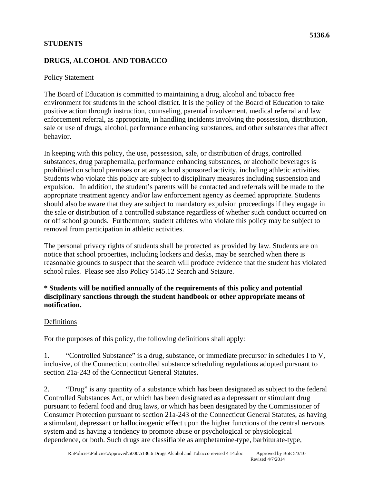## **STUDENTS**

# **DRUGS, ALCOHOL AND TOBACCO**

## Policy Statement

The Board of Education is committed to maintaining a drug, alcohol and tobacco free environment for students in the school district. It is the policy of the Board of Education to take positive action through instruction, counseling, parental involvement, medical referral and law enforcement referral, as appropriate, in handling incidents involving the possession, distribution, sale or use of drugs, alcohol, performance enhancing substances, and other substances that affect behavior.

In keeping with this policy, the use, possession, sale, or distribution of drugs, controlled substances, drug paraphernalia, performance enhancing substances, or alcoholic beverages is prohibited on school premises or at any school sponsored activity, including athletic activities. Students who violate this policy are subject to disciplinary measures including suspension and expulsion. In addition, the student's parents will be contacted and referrals will be made to the appropriate treatment agency and/or law enforcement agency as deemed appropriate. Students should also be aware that they are subject to mandatory expulsion proceedings if they engage in the sale or distribution of a controlled substance regardless of whether such conduct occurred on or off school grounds. Furthermore, student athletes who violate this policy may be subject to removal from participation in athletic activities.

The personal privacy rights of students shall be protected as provided by law. Students are on notice that school properties, including lockers and desks, may be searched when there is reasonable grounds to suspect that the search will produce evidence that the student has violated school rules. Please see also Policy 5145.12 Search and Seizure.

## **\* Students will be notified annually of the requirements of this policy and potential disciplinary sanctions through the student handbook or other appropriate means of notification.**

## Definitions

For the purposes of this policy, the following definitions shall apply:

1. "Controlled Substance" is a drug, substance, or immediate precursor in schedules I to V, inclusive, of the Connecticut controlled substance scheduling regulations adopted pursuant to section 21a-243 of the Connecticut General Statutes.

2. "Drug" is any quantity of a substance which has been designated as subject to the federal Controlled Substances Act, or which has been designated as a depressant or stimulant drug pursuant to federal food and drug laws, or which has been designated by the Commissioner of Consumer Protection pursuant to section 21a-243 of the Connecticut General Statutes, as having a stimulant, depressant or hallucinogenic effect upon the higher functions of the central nervous system and as having a tendency to promote abuse or psychological or physiological dependence, or both. Such drugs are classifiable as amphetamine-type, barbiturate-type,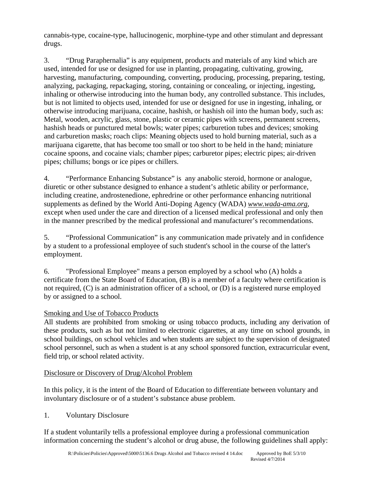cannabis-type, cocaine-type, hallucinogenic, morphine-type and other stimulant and depressant drugs.

3. "Drug Paraphernalia" is any equipment, products and materials of any kind which are used, intended for use or designed for use in planting, propagating, cultivating, growing, harvesting, manufacturing, compounding, converting, producing, processing, preparing, testing, analyzing, packaging, repackaging, storing, containing or concealing, or injecting, ingesting, inhaling or otherwise introducing into the human body, any controlled substance. This includes, but is not limited to objects used, intended for use or designed for use in ingesting, inhaling, or otherwise introducing marijuana, cocaine, hashish, or hashish oil into the human body, such as: Metal, wooden, acrylic, glass, stone, plastic or ceramic pipes with screens, permanent screens, hashish heads or punctured metal bowls; water pipes; carburetion tubes and devices; smoking and carburetion masks; roach clips: Meaning objects used to hold burning material, such as a marijuana cigarette, that has become too small or too short to be held in the hand; miniature cocaine spoons, and cocaine vials; chamber pipes; carburetor pipes; electric pipes; air-driven pipes; chillums; bongs or ice pipes or chillers.

4. "Performance Enhancing Substance" is any anabolic steroid, hormone or analogue, diuretic or other substance designed to enhance a student's athletic ability or performance, including creatine, androstenedione, ephredrine or other performance enhancing nutritional supplements as defined by the World Anti-Doping Agency (WADA) *www.wada-ama.org*, except when used under the care and direction of a licensed medical professional and only then in the manner prescribed by the medical professional and manufacturer's recommendations.

5. "Professional Communication" is any communication made privately and in confidence by a student to a professional employee of such student's school in the course of the latter's employment.

6. "Professional Employee" means a person employed by a school who (A) holds a certificate from the State Board of Education, (B) is a member of a faculty where certification is not required, (C) is an administration officer of a school, or (D) is a registered nurse employed by or assigned to a school.

## Smoking and Use of Tobacco Products

All students are prohibited from smoking or using tobacco products, including any derivation of these products, such as but not limited to electronic cigarettes, at any time on school grounds, in school buildings, on school vehicles and when students are subject to the supervision of designated school personnel, such as when a student is at any school sponsored function, extracurricular event, field trip, or school related activity.

## Disclosure or Discovery of Drug/Alcohol Problem

 involuntary disclosure or of a student's substance abuse problem. 1. Voluntary Disclosure In this policy, it is the intent of the Board of Education to differentiate between voluntary and

If a student voluntarily tells a professional employee during a professional communication information concerning the student's alcohol or drug abuse, the following guidelines shall apply: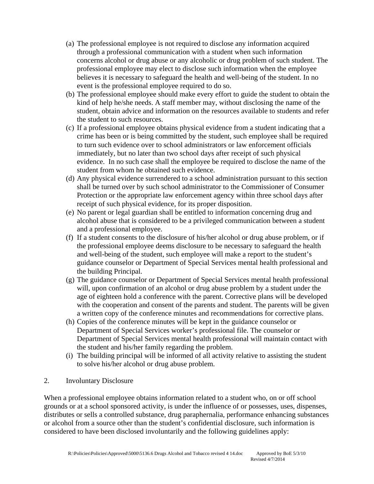- (a) The professional employee is not required to disclose any information acquired through a professional communication with a student when such information concerns alcohol or drug abuse or any alcoholic or drug problem of such student. The professional employee may elect to disclose such information when the employee believes it is necessary to safeguard the health and well-being of the student. In no event is the professional employee required to do so.
- (b) The professional employee should make every effort to guide the student to obtain the kind of help he/she needs. A staff member may, without disclosing the name of the student, obtain advice and information on the resources available to students and refer the student to such resources.
- (c) If a professional employee obtains physical evidence from a student indicating that a crime has been or is being committed by the student, such employee shall be required to turn such evidence over to school administrators or law enforcement officials immediately, but no later than two school days after receipt of such physical evidence. In no such case shall the employee be required to disclose the name of the student from whom he obtained such evidence.
- (d) Any physical evidence surrendered to a school administration pursuant to this section shall be turned over by such school administrator to the Commissioner of Consumer Protection or the appropriate law enforcement agency within three school days after receipt of such physical evidence, for its proper disposition.
- (e) No parent or legal guardian shall be entitled to information concerning drug and alcohol abuse that is considered to be a privileged communication between a student and a professional employee.
- (f) If a student consents to the disclosure of his/her alcohol or drug abuse problem, or if the professional employee deems disclosure to be necessary to safeguard the health and well-being of the student, such employee will make a report to the student's guidance counselor or Department of Special Services mental health professional and the building Principal.
- (g) The guidance counselor or Department of Special Services mental health professional will, upon confirmation of an alcohol or drug abuse problem by a student under the age of eighteen hold a conference with the parent. Corrective plans will be developed with the cooperation and consent of the parents and student. The parents will be given a written copy of the conference minutes and recommendations for corrective plans.
- (h) Copies of the conference minutes will be kept in the guidance counselor or Department of Special Services worker's professional file. The counselor or Department of Special Services mental health professional will maintain contact with the student and his/her family regarding the problem.
- (i) The building principal will be informed of all activity relative to assisting the student to solve his/her alcohol or drug abuse problem.
- 2. Involuntary Disclosure

When a professional employee obtains information related to a student who, on or off school grounds or at a school sponsored activity, is under the influence of or possesses, uses, dispenses, distributes or sells a controlled substance, drug paraphernalia, performance enhancing substances or alcohol from a source other than the student's confidential disclosure, such information is considered to have been disclosed involuntarily and the following guidelines apply: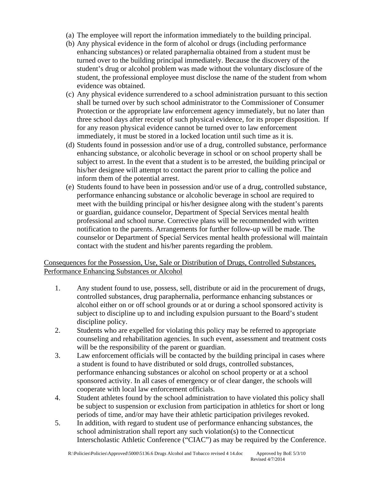- (a) The employee will report the information immediately to the building principal.
- (b) Any physical evidence in the form of alcohol or drugs (including performance enhancing substances) or related paraphernalia obtained from a student must be turned over to the building principal immediately. Because the discovery of the student's drug or alcohol problem was made without the voluntary disclosure of the student, the professional employee must disclose the name of the student from whom evidence was obtained.
- (c) Any physical evidence surrendered to a school administration pursuant to this section shall be turned over by such school administrator to the Commissioner of Consumer Protection or the appropriate law enforcement agency immediately, but no later than three school days after receipt of such physical evidence, for its proper disposition. If for any reason physical evidence cannot be turned over to law enforcement immediately, it must be stored in a locked location until such time as it is.
- (d) Students found in possession and/or use of a drug, controlled substance, performance enhancing substance, or alcoholic beverage in school or on school property shall be subject to arrest. In the event that a student is to be arrested, the building principal or his/her designee will attempt to contact the parent prior to calling the police and inform them of the potential arrest.
- (e) Students found to have been in possession and/or use of a drug, controlled substance, performance enhancing substance or alcoholic beverage in school are required to meet with the building principal or his/her designee along with the student's parents or guardian, guidance counselor, Department of Special Services mental health professional and school nurse. Corrective plans will be recommended with written notification to the parents. Arrangements for further follow-up will be made. The counselor or Department of Special Services mental health professional will maintain contact with the student and his/her parents regarding the problem.

## Consequences for the Possession, Use, Sale or Distribution of Drugs, Controlled Substances, Performance Enhancing Substances or Alcohol

- 1. Any student found to use, possess, sell, distribute or aid in the procurement of drugs, controlled substances, drug paraphernalia, performance enhancing substances or alcohol either on or off school grounds or at or during a school sponsored activity is subject to discipline up to and including expulsion pursuant to the Board's student discipline policy.
- 2. Students who are expelled for violating this policy may be referred to appropriate counseling and rehabilitation agencies. In such event, assessment and treatment costs will be the responsibility of the parent or guardian.
- 3. Law enforcement officials will be contacted by the building principal in cases where a student is found to have distributed or sold drugs, controlled substances, performance enhancing substances or alcohol on school property or at a school sponsored activity. In all cases of emergency or of clear danger, the schools will cooperate with local law enforcement officials.
- 4. Student athletes found by the school administration to have violated this policy shall be subject to suspension or exclusion from participation in athletics for short or long periods of time, and/or may have their athletic participation privileges revoked.
- 5. In addition, with regard to student use of performance enhancing substances, the school administration shall report any such violation(s) to the Connecticut Interscholastic Athletic Conference ("CIAC") as may be required by the Conference.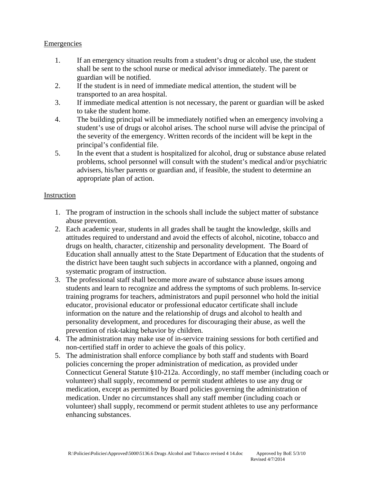## Emergencies

- 1. If an emergency situation results from a student's drug or alcohol use, the student shall be sent to the school nurse or medical advisor immediately. The parent or guardian will be notified.
- 2. If the student is in need of immediate medical attention, the student will be transported to an area hospital.
- 3. If immediate medical attention is not necessary, the parent or guardian will be asked to take the student home.
- 4. The building principal will be immediately notified when an emergency involving a student's use of drugs or alcohol arises. The school nurse will advise the principal of the severity of the emergency. Written records of the incident will be kept in the principal's confidential file.
- 5. In the event that a student is hospitalized for alcohol, drug or substance abuse related problems, school personnel will consult with the student's medical and/or psychiatric advisers, his/her parents or guardian and, if feasible, the student to determine an appropriate plan of action.

#### Instruction

- 1. The program of instruction in the schools shall include the subject matter of substance abuse prevention.
- 2. Each academic year, students in all grades shall be taught the knowledge, skills and attitudes required to understand and avoid the effects of alcohol, nicotine, tobacco and drugs on health, character, citizenship and personality development. The Board of Education shall annually attest to the State Department of Education that the students of the district have been taught such subjects in accordance with a planned, ongoing and systematic program of instruction.
- 3. The professional staff shall become more aware of substance abuse issues among students and learn to recognize and address the symptoms of such problems. In-service training programs for teachers, administrators and pupil personnel who hold the initial educator, provisional educator or professional educator certificate shall include information on the nature and the relationship of drugs and alcohol to health and personality development, and procedures for discouraging their abuse, as well the prevention of risk-taking behavior by children.
- 4. The administration may make use of in-service training sessions for both certified and non-certified staff in order to achieve the goals of this policy.
- 5. The administration shall enforce compliance by both staff and students with Board policies concerning the proper administration of medication, as provided under Connecticut General Statute §10-212a. Accordingly, no staff member (including coach or volunteer) shall supply, recommend or permit student athletes to use any drug or medication, except as permitted by Board policies governing the administration of medication. Under no circumstances shall any staff member (including coach or volunteer) shall supply, recommend or permit student athletes to use any performance enhancing substances.